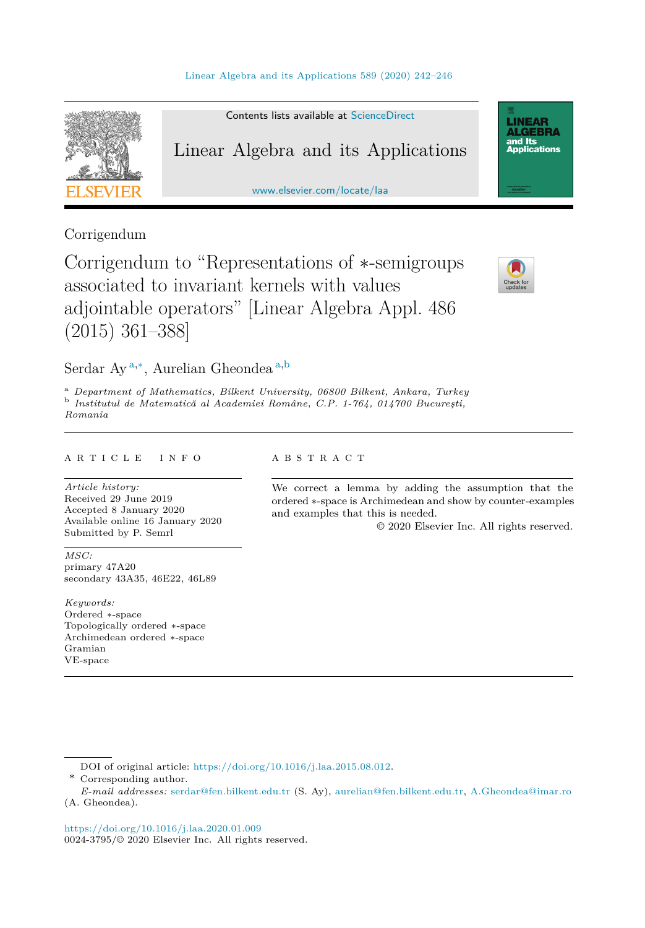

Contents lists available at [ScienceDirect](http://www.ScienceDirect.com/)

# Linear Algebra and its Applications

[www.elsevier.com/locate/laa](http://www.elsevier.com/locate/laa)

# Corrigendum

Corrigendum to "Representations of ∗-semigroups associated to invariant kernels with values adjointable operators" [Linear Algebra Appl. 486 (2015) 361–388]



**LINEAR ALGEBRA** and Its ana<br>Applications

## Serdar Ay <sup>a</sup>*,*∗, Aurelian Gheondea <sup>a</sup>*,*<sup>b</sup>

<sup>a</sup> Department of Mathematics, Bilkent University, 06800 Bilkent, Ankara, Turkey b Institutul de Matematică al Academiei Române, C.P. 1-764, 014700 București, *Romania*

#### A R T I C L E I N F O A B S T R A C T

*Article history:* Received 29 June 2019 Accepted 8 January 2020 Available online 16 January 2020 Submitted by P. Semrl

*MSC:* primary 47A20 secondary 43A35, 46E22, 46L89

*Keywords:* Ordered ∗-space Topologically ordered ∗-space Archimedean ordered ∗-space Gramian VE-space

We correct a lemma by adding the assumption that the ordered ∗-space is Archimedean and show by counter-examples and examples that this is needed.

© 2020 Elsevier Inc. All rights reserved.

\* Corresponding author.

DOI of original article: <https://doi.org/10.1016/j.laa.2015.08.012>.

*E-mail addresses:* [serdar@fen.bilkent.edu.tr](mailto:serdar@fen.bilkent.edu.tr) (S. Ay), [aurelian@fen.bilkent.edu.tr,](mailto:aurelian@fen.bilkent.edu.tr) [A.Gheondea@imar.ro](mailto:A.Gheondea@imar.ro) (A. Gheondea).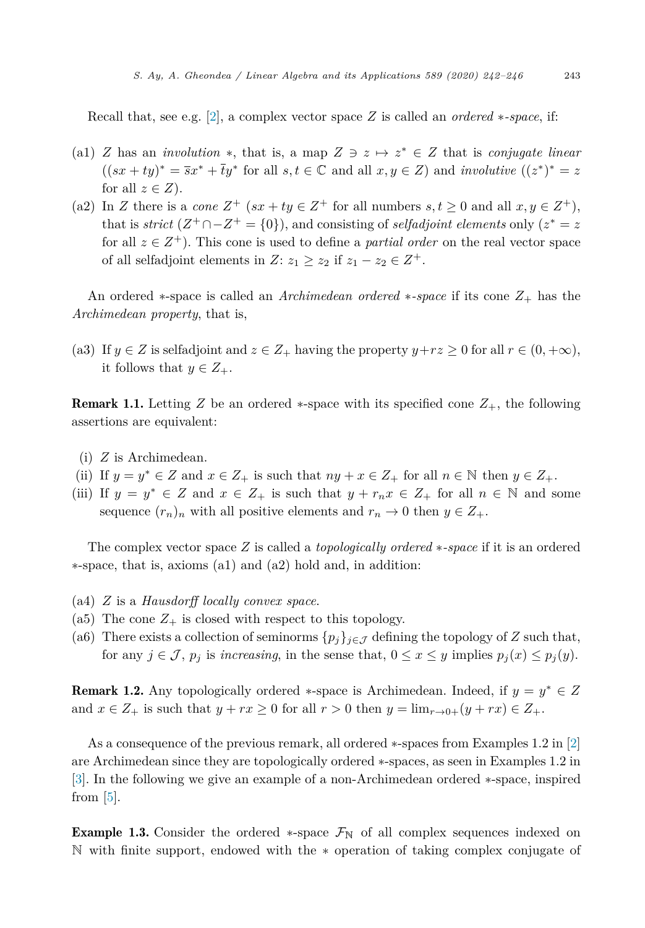<span id="page-1-0"></span>Recall that, see e.g. [\[2\]](#page-4-0), a complex vector space *Z* is called an *ordered* ∗*-space*, if:

- (a1) *Z* has an *involution*  $*$ , that is, a map  $Z \ni z \mapsto z^* \in Z$  that is *conjugate linear*  $((sx + ty)^* = \overline{sx^*} + \overline{t}y^*$  for all  $s, t \in \mathbb{C}$  and all  $x, y \in \mathbb{Z}$ ) and *involutive*  $((z^*)^* = z^*$ for all  $z \in Z$ ).
- (a2) In *Z* there is a *cone*  $Z^+$  ( $sx + ty \in Z^+$  for all numbers  $s, t \geq 0$  and all  $x, y \in Z^+$ ), that is *strict*  $(Z^+\cap -Z^+ = \{0\})$ , and consisting of *selfadjoint elements* only  $(z^* = z)$ for all  $z \in Z^+$ ). This cone is used to define a *partial order* on the real vector space of all selfadjoint elements in  $Z: z_1 \geq z_2$  if  $z_1 - z_2 \in Z^+$ .

An ordered ∗-space is called an *Archimedean ordered* ∗*-space* if its cone *Z*<sup>+</sup> has the *Archimedean property*, that is,

(a3) If  $y \in Z$  is selfadjoint and  $z \in Z_+$  having the property  $y + rz \geq 0$  for all  $r \in (0, +\infty)$ , it follows that  $y \in Z_+$ .

**Remark 1.1.** Letting *Z* be an ordered  $*$ -space with its specified cone  $Z_+$ , the following assertions are equivalent:

- (i) *Z* is Archimedean.
- (ii) If  $y = y^* \in Z$  and  $x \in Z_+$  is such that  $ny + x \in Z_+$  for all  $n \in \mathbb{N}$  then  $y \in Z_+$ .
- (iii) If  $y = y^* \in Z$  and  $x \in Z_+$  is such that  $y + r_n x \in Z_+$  for all  $n \in \mathbb{N}$  and some sequence  $(r_n)_n$  with all positive elements and  $r_n \to 0$  then  $y \in Z_+$ .

The complex vector space *Z* is called a *topologically ordered* ∗*-space* if it is an ordered ∗-space, that is, axioms (a1) and (a2) hold and, in addition:

- (a4) *Z* is a *Hausdorff locally convex space*.
- (a5) The cone  $Z_+$  is closed with respect to this topology.
- (a6) There exists a collection of seminorms  $\{p_j\}_{j \in \mathcal{J}}$  defining the topology of *Z* such that, for any  $j \in \mathcal{J}$ ,  $p_j$  is *increasing*, in the sense that,  $0 \le x \le y$  implies  $p_j(x) \le p_j(y)$ .

Remark 1.2. Any topologically ordered ∗-space is Archimedean. Indeed, if *y* = *y*<sup>∗</sup> ∈ *Z* and  $x \in Z_+$  is such that  $y + rx \ge 0$  for all  $r > 0$  then  $y = \lim_{r \to 0+} (y + rx) \in Z_+$ .

As a consequence of the previous remark, all ordered ∗-spaces from Examples 1.2 in [\[2\]](#page-4-0) are Archimedean since they are topologically ordered ∗-spaces, as seen in Examples 1.2 in [\[3\]](#page-4-0). In the following we give an example of a non-Archimedean ordered ∗-space, inspired from  $|5|$ .

**Example 1.3.** Consider the ordered  $*$ -space  $\mathcal{F}_{\mathbb{N}}$  of all complex sequences indexed on N with finite support, endowed with the ∗ operation of taking complex conjugate of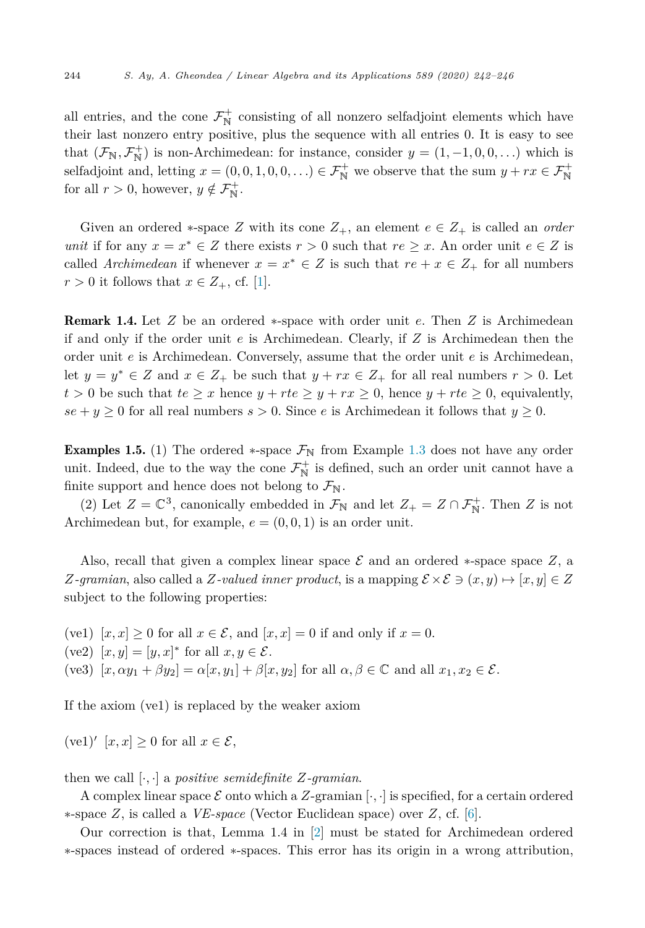<span id="page-2-0"></span>all entries, and the cone  $\mathcal{F}_{\mathbb{N}}^+$  consisting of all nonzero selfadjoint elements which have their last nonzero entry positive, plus the sequence with all entries 0. It is easy to see that  $(\mathcal{F}_{N}, \mathcal{F}_{N}^{+})$  is non-Archimedean: for instance, consider  $y = (1, -1, 0, 0, ...)$  which is selfadjoint and, letting  $x = (0, 0, 1, 0, 0, ...) \in \mathcal{F}_{\mathbb{N}}^+$  we observe that the sum  $y + rx \in \mathcal{F}_{\mathbb{N}}^+$ for all  $r > 0$ , however,  $y \notin \mathcal{F}_{\mathbb{N}}^+$ .

Given an ordered  $*$ -space Z with its cone  $Z_+$ , an element  $e \in Z_+$  is called an *order unit* if for any  $x = x^* \in Z$  there exists  $r > 0$  such that  $re \geq x$ . An order unit  $e \in Z$  is called *Archimedean* if whenever  $x = x^* \in Z$  is such that  $re + x \in Z_+$  for all numbers  $r > 0$  it follows that  $x \in Z_+$ , cf. [\[1\]](#page-4-0).

Remark 1.4. Let *Z* be an ordered ∗-space with order unit *e*. Then *Z* is Archimedean if and only if the order unit *e* is Archimedean. Clearly, if *Z* is Archimedean then the order unit *e* is Archimedean. Conversely, assume that the order unit *e* is Archimedean, let  $y = y^* \in Z$  and  $x \in Z_+$  be such that  $y + rx \in Z_+$  for all real numbers  $r > 0$ . Let  $t > 0$  be such that  $te \geq x$  hence  $y + rte \geq y + rx \geq 0$ , hence  $y + rte \geq 0$ , equivalently,  $se + y \geq 0$  for all real numbers  $s > 0$ . Since *e* is Archimedean it follows that  $y \geq 0$ .

**Examples 1.5.** (1) The ordered  $*$ -space  $\mathcal{F}_{\mathbb{N}}$  from Example [1.3](#page-1-0) does not have any order unit. Indeed, due to the way the cone  $\mathcal{F}_{\mathbb{N}}^+$  is defined, such an order unit cannot have a finite support and hence does not belong to  $\mathcal{F}_{N}$ .

(2) Let  $Z = \mathbb{C}^3$ , canonically embedded in  $\mathcal{F}_{\mathbb{N}}$  and let  $Z_+ = Z \cap \mathcal{F}_{\mathbb{N}}^+$ . Then *Z* is not Archimedean but, for example,  $e = (0, 0, 1)$  is an order unit.

Also, recall that given a complex linear space  $\mathcal E$  and an ordered  $*$ -space space  $Z$ , a *Z-gramian*, also called a *Z-valued inner product*, is a mapping  $\mathcal{E} \times \mathcal{E} \ni (x, y) \mapsto [x, y] \in Z$ subject to the following properties:

(ve1)  $[x, x] \geq 0$  for all  $x \in \mathcal{E}$ , and  $[x, x] = 0$  if and only if  $x = 0$ .

 $(\text{ve2}) [x, y] = [y, x]^* \text{ for all } x, y \in \mathcal{E}.$ 

 $(ve3)$   $[x, \alpha y_1 + \beta y_2] = \alpha [x, y_1] + \beta [x, y_2]$  for all  $\alpha, \beta \in \mathbb{C}$  and all  $x_1, x_2 \in \mathcal{E}$ .

If the axiom (ve1) is replaced by the weaker axiom

(ve1)'  $[x, x] \geq 0$  for all  $x \in \mathcal{E}$ ,

then we call  $[\cdot, \cdot]$  a *positive semidefinite*  $Z$ *-gramian.* 

A complex linear space  $\mathcal E$  onto which a Z-gramian  $[\cdot, \cdot]$  is specified, for a certain ordered ∗-space *Z*, is called a *VE-space* (Vector Euclidean space) over *Z*, cf. [\[6\]](#page-4-0).

Our correction is that, Lemma 1.4 in [\[2\]](#page-4-0) must be stated for Archimedean ordered ∗-spaces instead of ordered ∗-spaces. This error has its origin in a wrong attribution,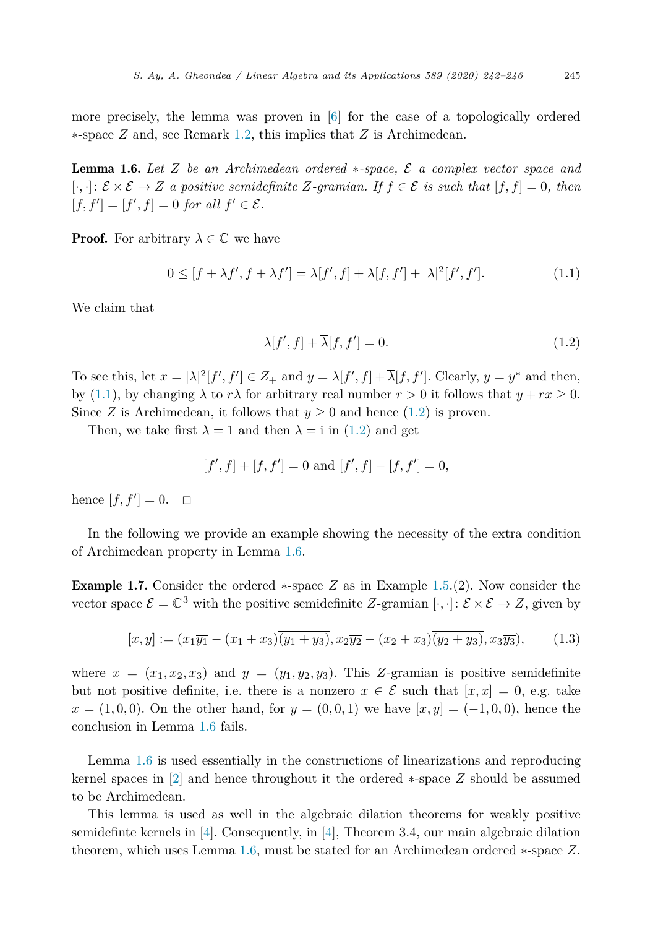more precisely, the lemma was proven in [\[6\]](#page-4-0) for the case of a topologically ordered ∗-space *Z* and, see Remark [1.2,](#page-1-0) this implies that *Z* is Archimedean.

Lemma 1.6. *Let Z be an Archimedean ordered* ∗*-space,* E *a complex vector space and* [·*,* ·]: E×E → *Z a positive semidefinite Z-gramian. If f* ∈ E *is such that* [*f, f*] = 0*, then*  $[f, f'] = [f', f] = 0$  *for all*  $f' \in \mathcal{E}$ .

**Proof.** For arbitrary  $\lambda \in \mathbb{C}$  we have

$$
0 \le [f + \lambda f', f + \lambda f'] = \lambda[f', f] + \overline{\lambda}[f, f'] + |\lambda|^2[f', f'].
$$
\n(1.1)

We claim that

$$
\lambda[f',f] + \overline{\lambda}[f,f'] = 0. \tag{1.2}
$$

To see this, let  $x = |\lambda|^2[f', f'] \in Z_+$  and  $y = \lambda[f', f] + \overline{\lambda}[f, f']$ . Clearly,  $y = y^*$  and then, by (1.1), by changing  $\lambda$  to  $r\lambda$  for arbitrary real number  $r > 0$  it follows that  $y + rx \geq 0$ . Since *Z* is Archimedean, it follows that  $y \geq 0$  and hence (1.2) is proven.

Then, we take first  $\lambda = 1$  and then  $\lambda = i$  in (1.2) and get

$$
[f', f] + [f, f'] = 0 \text{ and } [f', f] - [f, f'] = 0,
$$

hence  $[f, f'] = 0. \Box$ 

In the following we provide an example showing the necessity of the extra condition of Archimedean property in Lemma 1.6.

Example 1.7. Consider the ordered ∗-space *Z* as in Example [1.5.](#page-2-0)(2). Now consider the vector space  $\mathcal{E} = \mathbb{C}^3$  with the positive semidefinite *Z*-gramian  $[\cdot, \cdot] : \mathcal{E} \times \mathcal{E} \to Z$ , given by

$$
[x, y] := (x_1\overline{y_1} - (x_1 + x_3)\overline{(y_1 + y_3)}, x_2\overline{y_2} - (x_2 + x_3)\overline{(y_2 + y_3)}, x_3\overline{y_3}),
$$
(1.3)

where  $x = (x_1, x_2, x_3)$  and  $y = (y_1, y_2, y_3)$ . This *Z*-gramian is positive semidefinite but not positive definite, i.e. there is a nonzero  $x \in \mathcal{E}$  such that  $[x, x] = 0$ , e.g. take  $x = (1,0,0)$ . On the other hand, for  $y = (0,0,1)$  we have  $[x, y] = (-1,0,0)$ , hence the conclusion in Lemma 1.6 fails.

Lemma 1.6 is used essentially in the constructions of linearizations and reproducing kernel spaces in [\[2\]](#page-4-0) and hence throughout it the ordered ∗-space *Z* should be assumed to be Archimedean.

This lemma is used as well in the algebraic dilation theorems for weakly positive semidefinte kernels in  $[4]$ . Consequently, in  $[4]$ , Theorem 3.4, our main algebraic dilation theorem, which uses Lemma 1.6, must be stated for an Archimedean ordered ∗-space *Z*.